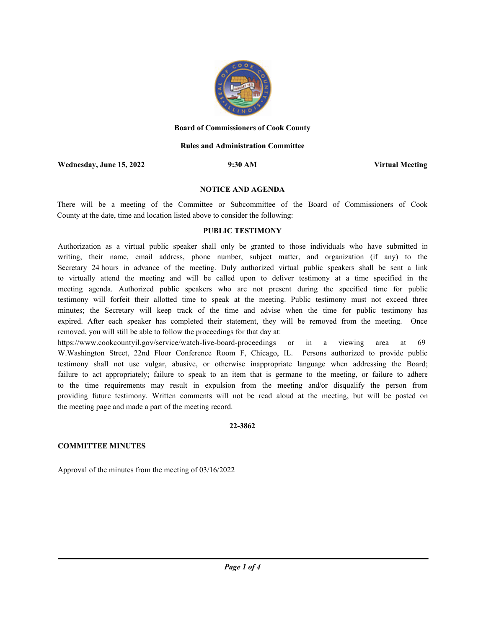

#### **Board of Commissioners of Cook County**

## **Rules and Administration Committee**

**Wednesday, June 15, 2022 9:30 AM Virtual Meeting**

#### **NOTICE AND AGENDA**

There will be a meeting of the Committee or Subcommittee of the Board of Commissioners of Cook County at the date, time and location listed above to consider the following:

## **PUBLIC TESTIMONY**

Authorization as a virtual public speaker shall only be granted to those individuals who have submitted in writing, their name, email address, phone number, subject matter, and organization (if any) to the Secretary 24 hours in advance of the meeting. Duly authorized virtual public speakers shall be sent a link to virtually attend the meeting and will be called upon to deliver testimony at a time specified in the meeting agenda. Authorized public speakers who are not present during the specified time for public testimony will forfeit their allotted time to speak at the meeting. Public testimony must not exceed three minutes; the Secretary will keep track of the time and advise when the time for public testimony has expired. After each speaker has completed their statement, they will be removed from the meeting. Once removed, you will still be able to follow the proceedings for that day at:

https://www.cookcountyil.gov/service/watch-live-board-proceedings or in a viewing area at 69 W.Washington Street, 22nd Floor Conference Room F, Chicago, IL. Persons authorized to provide public testimony shall not use vulgar, abusive, or otherwise inappropriate language when addressing the Board; failure to act appropriately; failure to speak to an item that is germane to the meeting, or failure to adhere to the time requirements may result in expulsion from the meeting and/or disqualify the person from providing future testimony. Written comments will not be read aloud at the meeting, but will be posted on the meeting page and made a part of the meeting record.

#### **22-3862**

## **COMMITTEE MINUTES**

Approval of the minutes from the meeting of 03/16/2022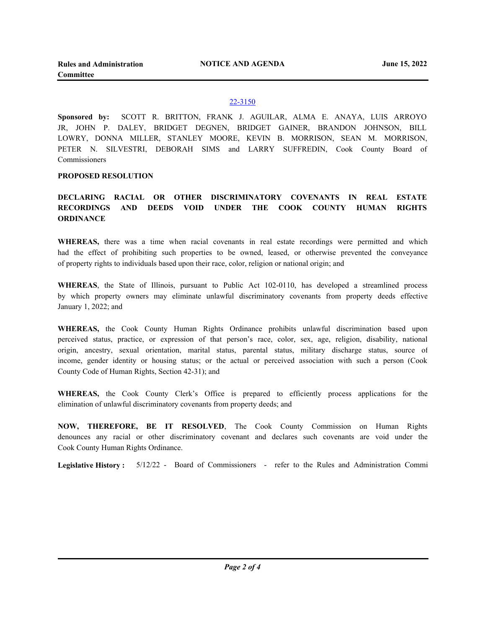**NOTICE AND AGENDA**

## 22-3150

**Sponsored by:** SCOTT R. BRITTON, FRANK J. AGUILAR, ALMA E. ANAYA, LUIS ARROYO JR, JOHN P. DALEY, BRIDGET DEGNEN, BRIDGET GAINER, BRANDON JOHNSON, BILL LOWRY, DONNA MILLER, STANLEY MOORE, KEVIN B. MORRISON, SEAN M. MORRISON, PETER N. SILVESTRI, DEBORAH SIMS and LARRY SUFFREDIN, Cook County Board of Commissioners

### **PROPOSED RESOLUTION**

# **DECLARING RACIAL OR OTHER DISCRIMINATORY COVENANTS IN REAL ESTATE RECORDINGS AND DEEDS VOID UNDER THE COOK COUNTY HUMAN RIGHTS ORDINANCE**

**WHEREAS,** there was a time when racial covenants in real estate recordings were permitted and which had the effect of prohibiting such properties to be owned, leased, or otherwise prevented the conveyance of property rights to individuals based upon their race, color, religion or national origin; and

**WHEREAS**, the State of Illinois, pursuant to Public Act 102-0110, has developed a streamlined process by which property owners may eliminate unlawful discriminatory covenants from property deeds effective January 1, 2022; and

**WHEREAS,** the Cook County Human Rights Ordinance prohibits unlawful discrimination based upon perceived status, practice, or expression of that person's race, color, sex, age, religion, disability, national origin, ancestry, sexual orientation, marital status, parental status, military discharge status, source of income, gender identity or housing status; or the actual or perceived association with such a person (Cook County Code of Human Rights, Section 42-31); and

**WHEREAS,** the Cook County Clerk's Office is prepared to efficiently process applications for the elimination of unlawful discriminatory covenants from property deeds; and

**NOW, THEREFORE, BE IT RESOLVED**, The Cook County Commission on Human Rights denounces any racial or other discriminatory covenant and declares such covenants are void under the Cook County Human Rights Ordinance.

**Legislative History :** 5/12/22 - Board of Commissioners - refer to the Rules and Administration Commi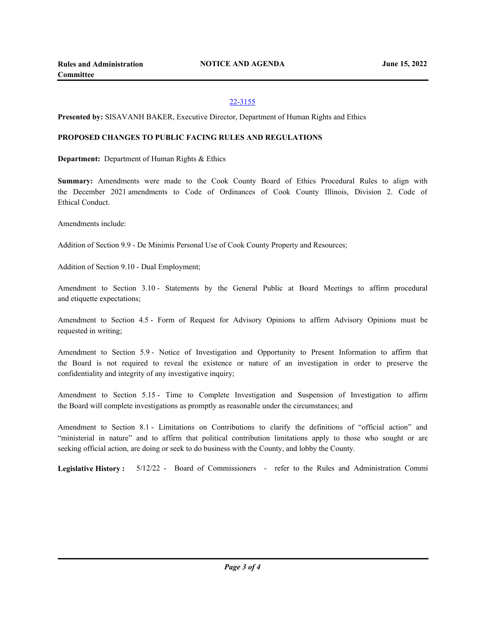# 22-3155

**Presented by:** SISAVANH BAKER, Executive Director, Department of Human Rights and Ethics

## **PROPOSED CHANGES TO PUBLIC FACING RULES AND REGULATIONS**

**Department:** Department of Human Rights & Ethics

**Summary:** Amendments were made to the Cook County Board of Ethics Procedural Rules to align with the December 2021 amendments to Code of Ordinances of Cook County Illinois, Division 2. Code of Ethical Conduct.

Amendments include:

Addition of Section 9.9 - De Minimis Personal Use of Cook County Property and Resources;

Addition of Section 9.10 - Dual Employment;

Amendment to Section 3.10 - Statements by the General Public at Board Meetings to affirm procedural and etiquette expectations;

Amendment to Section 4.5 - Form of Request for Advisory Opinions to affirm Advisory Opinions must be requested in writing;

Amendment to Section 5.9 - Notice of Investigation and Opportunity to Present Information to affirm that the Board is not required to reveal the existence or nature of an investigation in order to preserve the confidentiality and integrity of any investigative inquiry;

Amendment to Section 5.15 - Time to Complete Investigation and Suspension of Investigation to affirm the Board will complete investigations as promptly as reasonable under the circumstances; and

Amendment to Section 8.1 - Limitations on Contributions to clarify the definitions of "official action" and "ministerial in nature" and to affirm that political contribution limitations apply to those who sought or are seeking official action, are doing or seek to do business with the County, and lobby the County.

**Legislative History :** 5/12/22 - Board of Commissioners - refer to the Rules and Administration Commi